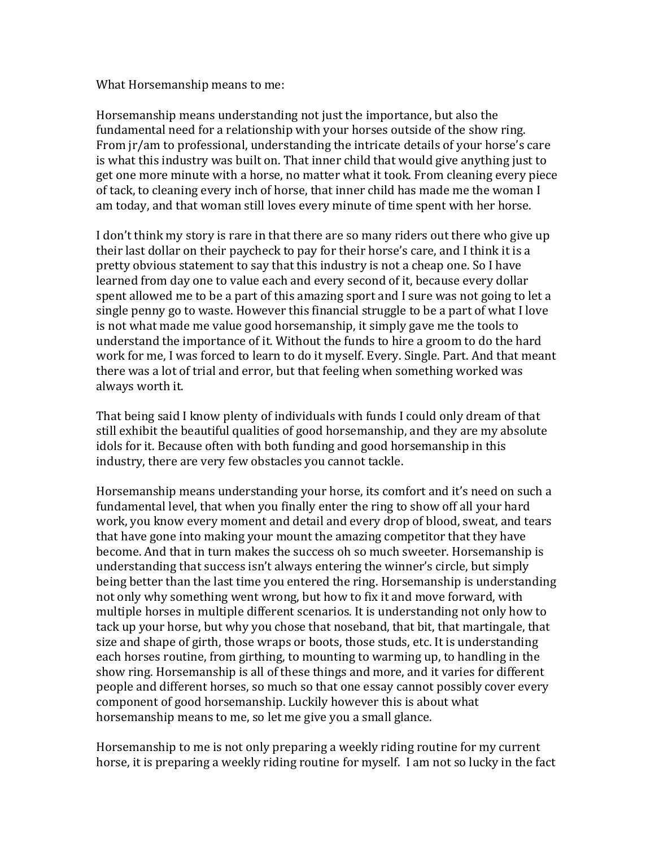What Horsemanship means to me:

Horsemanship means understanding not just the importance, but also the fundamental need for a relationship with your horses outside of the show ring. From jr/am to professional, understanding the intricate details of your horse's care is what this industry was built on. That inner child that would give anything just to get one more minute with a horse, no matter what it took. From cleaning every piece of tack, to cleaning every inch of horse, that inner child has made me the woman I am today, and that woman still loves every minute of time spent with her horse.

I don't think my story is rare in that there are so many riders out there who give up their last dollar on their paycheck to pay for their horse's care, and I think it is a pretty obvious statement to say that this industry is not a cheap one. So I have learned from day one to value each and every second of it, because every dollar spent allowed me to be a part of this amazing sport and I sure was not going to let a single penny go to waste. However this financial struggle to be a part of what I love is not what made me value good horsemanship, it simply gave me the tools to understand the importance of it. Without the funds to hire a groom to do the hard work for me, I was forced to learn to do it myself. Every. Single. Part. And that meant there was a lot of trial and error, but that feeling when something worked was always worth it.

That being said I know plenty of individuals with funds I could only dream of that still exhibit the beautiful qualities of good horsemanship, and they are my absolute idols for it. Because often with both funding and good horsemanship in this industry, there are very few obstacles you cannot tackle.

Horsemanship means understanding your horse, its comfort and it's need on such a fundamental level, that when you finally enter the ring to show off all your hard work, you know every moment and detail and every drop of blood, sweat, and tears that have gone into making your mount the amazing competitor that they have become. And that in turn makes the success oh so much sweeter. Horsemanship is understanding that success isn't always entering the winner's circle, but simply being better than the last time you entered the ring. Horsemanship is understanding not only why something went wrong, but how to fix it and move forward, with multiple horses in multiple different scenarios. It is understanding not only how to tack up your horse, but why you chose that noseband, that bit, that martingale, that size and shape of girth, those wraps or boots, those studs, etc. It is understanding each horses routine, from girthing, to mounting to warming up, to handling in the show ring. Horsemanship is all of these things and more, and it varies for different people and different horses, so much so that one essay cannot possibly cover every component of good horsemanship. Luckily however this is about what horsemanship means to me, so let me give you a small glance.

Horsemanship to me is not only preparing a weekly riding routine for my current horse, it is preparing a weekly riding routine for myself. I am not so lucky in the fact